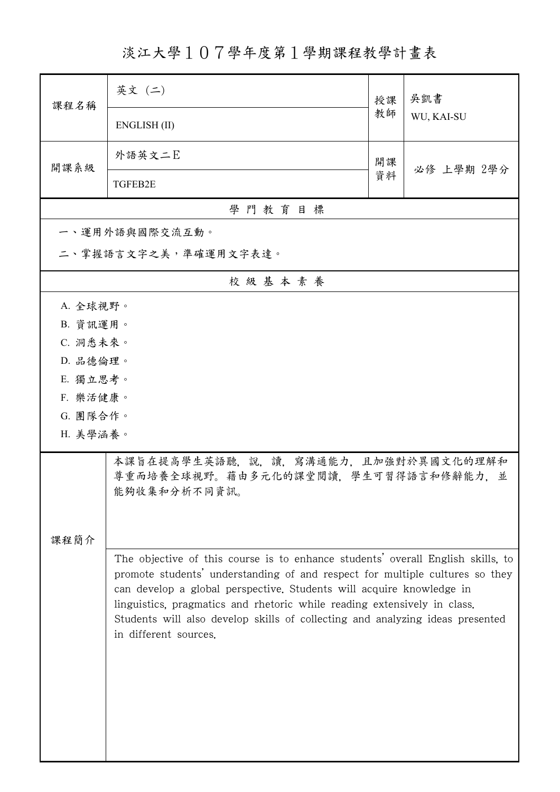淡江大學107學年度第1學期課程教學計畫表

| 課程名稱                                                                                                                                                                                                                                                                                                                                                                                                                          | 英文 (二)                                                                                     | 授課 | 吳凱書        |  |  |  |
|-------------------------------------------------------------------------------------------------------------------------------------------------------------------------------------------------------------------------------------------------------------------------------------------------------------------------------------------------------------------------------------------------------------------------------|--------------------------------------------------------------------------------------------|----|------------|--|--|--|
|                                                                                                                                                                                                                                                                                                                                                                                                                               | ENGLISH (II)                                                                               | 教師 | WU, KAI-SU |  |  |  |
| 開課系級                                                                                                                                                                                                                                                                                                                                                                                                                          | 外語英文二E                                                                                     | 開課 | 必修 上學期 2學分 |  |  |  |
|                                                                                                                                                                                                                                                                                                                                                                                                                               | TGFEB2E                                                                                    | 資料 |            |  |  |  |
|                                                                                                                                                                                                                                                                                                                                                                                                                               | 學門教育目標                                                                                     |    |            |  |  |  |
|                                                                                                                                                                                                                                                                                                                                                                                                                               | 一、運用外語與國際交流互動。                                                                             |    |            |  |  |  |
|                                                                                                                                                                                                                                                                                                                                                                                                                               | 二、掌握語言文字之美,準確運用文字表達。                                                                       |    |            |  |  |  |
|                                                                                                                                                                                                                                                                                                                                                                                                                               | 校級基本素養                                                                                     |    |            |  |  |  |
| A. 全球視野。                                                                                                                                                                                                                                                                                                                                                                                                                      |                                                                                            |    |            |  |  |  |
| B. 資訊運用。                                                                                                                                                                                                                                                                                                                                                                                                                      |                                                                                            |    |            |  |  |  |
| C. 洞悉未來。                                                                                                                                                                                                                                                                                                                                                                                                                      |                                                                                            |    |            |  |  |  |
| D. 品德倫理。                                                                                                                                                                                                                                                                                                                                                                                                                      |                                                                                            |    |            |  |  |  |
| E. 獨立思考。                                                                                                                                                                                                                                                                                                                                                                                                                      |                                                                                            |    |            |  |  |  |
| F. 樂活健康。                                                                                                                                                                                                                                                                                                                                                                                                                      |                                                                                            |    |            |  |  |  |
| G. 團隊合作。<br>H. 美學涵養。                                                                                                                                                                                                                                                                                                                                                                                                          |                                                                                            |    |            |  |  |  |
|                                                                                                                                                                                                                                                                                                                                                                                                                               |                                                                                            |    |            |  |  |  |
|                                                                                                                                                                                                                                                                                                                                                                                                                               | 本課旨在提高學生英語聽,說,讀,寫溝通能力,且加強對於異國文化的理解和<br>尊重而培養全球視野。藉由多元化的課堂閱讀,學生可習得語言和修辭能力,並<br>能夠收集和分析不同資訊。 |    |            |  |  |  |
|                                                                                                                                                                                                                                                                                                                                                                                                                               |                                                                                            |    |            |  |  |  |
| 課程簡介                                                                                                                                                                                                                                                                                                                                                                                                                          |                                                                                            |    |            |  |  |  |
| The objective of this course is to enhance students' overall English skills, to<br>promote students' understanding of and respect for multiple cultures so they<br>can develop a global perspective. Students will acquire knowledge in<br>linguistics, pragmatics and rhetoric while reading extensively in class.<br>Students will also develop skills of collecting and analyzing ideas presented<br>in different sources. |                                                                                            |    |            |  |  |  |
|                                                                                                                                                                                                                                                                                                                                                                                                                               |                                                                                            |    |            |  |  |  |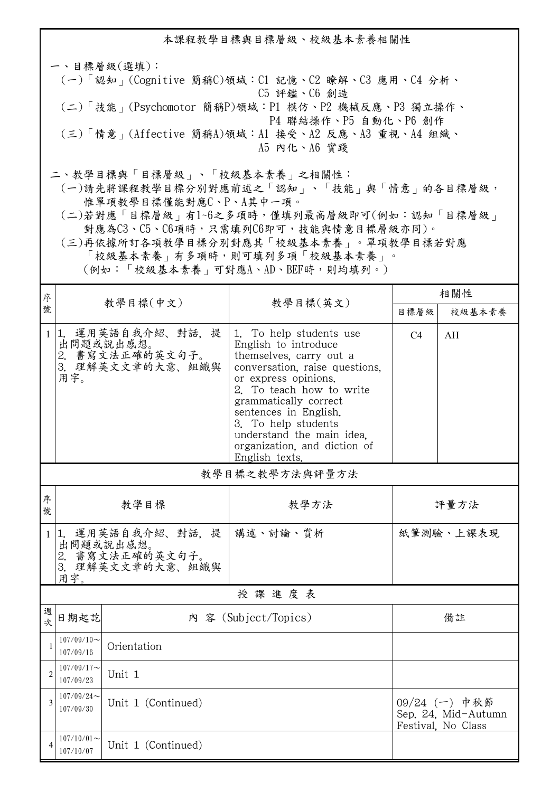本課程教學目標與目標層級、校級基本素養相關性 一、目標層級(選填): (一)「認知」(Cognitive 簡稱C)領域:C1 記憶、C2 瞭解、C3 應用、C4 分析、 C5 評鑑、C6 創造 (二)「技能」(Psychomotor 簡稱P)領域:P1 模仿、P2 機械反應、P3 獨立操作、 P4 聯結操作、P5 自動化、P6 創作 (三)「情意」(Affective 簡稱A)領域:A1 接受、A2 反應、A3 重視、A4 組織、 A5 內化、A6 實踐 二、教學目標與「目標層級」、「校級基本素養」之相關性:

 (一)請先將課程教學目標分別對應前述之「認知」、「技能」與「情意」的各目標層級, 惟單項教學目標僅能對應C、P、A其中一項。

 (二)若對應「目標層級」有1~6之多項時,僅填列最高層級即可(例如:認知「目標層級」 對應為C3、C5、C6項時,只需填列C6即可,技能與情意目標層級亦同)。

 (三)再依據所訂各項教學目標分別對應其「校級基本素養」。單項教學目標若對應 「校級基本素養」有多項時,則可填列多項「校級基本素養」。

(例如:「校級基本素養」可對應A、AD、BEF時,則均填列。)

| 序              | 教學目標(中文)                   |                                                                       | 教學目標(英文)                                                                                                                                                                                                                                                                                                                 | 相關性            |                                                              |  |
|----------------|----------------------------|-----------------------------------------------------------------------|--------------------------------------------------------------------------------------------------------------------------------------------------------------------------------------------------------------------------------------------------------------------------------------------------------------------------|----------------|--------------------------------------------------------------|--|
| 號              |                            |                                                                       |                                                                                                                                                                                                                                                                                                                          | 目標層級           | 校級基本素養                                                       |  |
| $\mathbf{1}$   | 用字。                        | 1. 運用英語自我介紹、對話, 提<br>出問題或說出感想。<br>2. 書寫文法正確的英文句子。<br>3. 理解英文文章的大意、組織與 | 1. To help students use<br>English to introduce<br>themselves, carry out a<br>conversation, raise questions,<br>or express opinions.<br>2. To teach how to write<br>grammatically correct<br>sentences in English.<br>3. To help students<br>understand the main idea.<br>organization, and diction of<br>English texts. | C <sub>4</sub> | AH                                                           |  |
|                | 教學目標之教學方法與評量方法             |                                                                       |                                                                                                                                                                                                                                                                                                                          |                |                                                              |  |
| 序<br>號         | 教學目標                       |                                                                       | 教學方法                                                                                                                                                                                                                                                                                                                     | 評量方法           |                                                              |  |
| 1              | 用字。                        | 1. 運用英語自我介紹、對話, 提<br>出問題或說出感想。<br>2. 書寫文法正確的英文句子。<br>3. 理解英文文章的大意、組織與 | 講述、討論、賞析                                                                                                                                                                                                                                                                                                                 | 紙筆測驗、上課表現      |                                                              |  |
| 授課進度表          |                            |                                                                       |                                                                                                                                                                                                                                                                                                                          |                |                                                              |  |
| 週<br>欤         | 日期起訖                       |                                                                       | 內 容 (Subject/Topics)                                                                                                                                                                                                                                                                                                     |                | 備註                                                           |  |
| $\mathbf{1}$   | $107/09/10$ ~<br>107/09/16 | Orientation                                                           |                                                                                                                                                                                                                                                                                                                          |                |                                                              |  |
| $\overline{2}$ | $107/09/17$ ~<br>107/09/23 | Unit 1                                                                |                                                                                                                                                                                                                                                                                                                          |                |                                                              |  |
| 3              | $107/09/24$ ~<br>107/09/30 | Unit 1 (Continued)                                                    |                                                                                                                                                                                                                                                                                                                          |                | $09/24$ (一) 中秋節<br>Sep. 24, Mid-Autumn<br>Festival, No Class |  |
| 4              | $107/10/01$ ~<br>107/10/07 | Unit 1 (Continued)                                                    |                                                                                                                                                                                                                                                                                                                          |                |                                                              |  |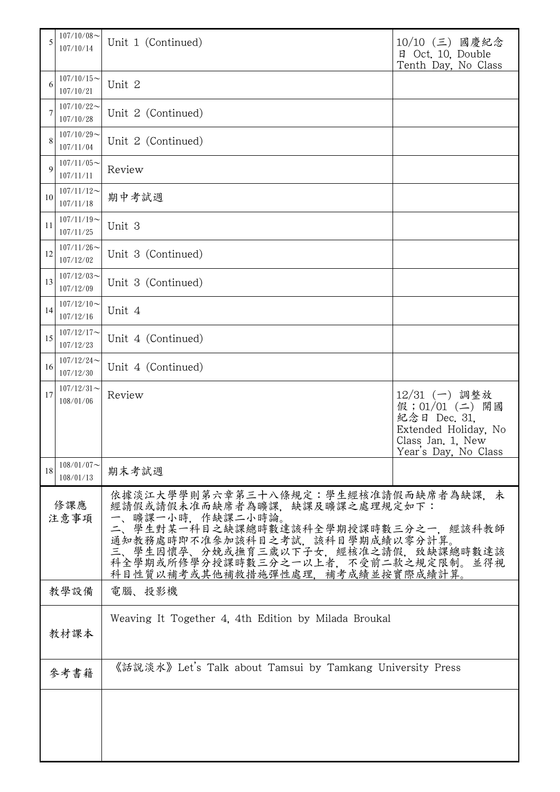| 5                                                            | $107/10/08$ ~<br>107/10/14 | Unit 1 (Continued)                                                                                                                                                                                                                                                                 | 10/10 (三) 國慶紀念<br>日 Oct. 10, Double<br>Tenth Day, No Class                                                               |  |
|--------------------------------------------------------------|----------------------------|------------------------------------------------------------------------------------------------------------------------------------------------------------------------------------------------------------------------------------------------------------------------------------|--------------------------------------------------------------------------------------------------------------------------|--|
| 6                                                            | $107/10/15$ ~<br>107/10/21 | Unit 2                                                                                                                                                                                                                                                                             |                                                                                                                          |  |
| 7                                                            | $107/10/22$ ~<br>107/10/28 | Unit 2 (Continued)                                                                                                                                                                                                                                                                 |                                                                                                                          |  |
| 8                                                            | $107/10/29$ ~<br>107/11/04 | Unit 2 (Continued)                                                                                                                                                                                                                                                                 |                                                                                                                          |  |
| 9                                                            | $107/11/05$ ~<br>107/11/11 | Review                                                                                                                                                                                                                                                                             |                                                                                                                          |  |
| 10                                                           | $107/11/12$ ~<br>107/11/18 | 期中考試週                                                                                                                                                                                                                                                                              |                                                                                                                          |  |
| 11                                                           | $107/11/19$ ~<br>107/11/25 | Unit 3                                                                                                                                                                                                                                                                             |                                                                                                                          |  |
| 12                                                           | $107/11/26$ ~<br>107/12/02 | Unit 3 (Continued)                                                                                                                                                                                                                                                                 |                                                                                                                          |  |
| 13                                                           | $107/12/03$ ~<br>107/12/09 | Unit 3 (Continued)                                                                                                                                                                                                                                                                 |                                                                                                                          |  |
| 14                                                           | $107/12/10$ ~<br>107/12/16 | Unit 4                                                                                                                                                                                                                                                                             |                                                                                                                          |  |
| 15                                                           | $107/12/17$ ~<br>107/12/23 | Unit 4 (Continued)                                                                                                                                                                                                                                                                 |                                                                                                                          |  |
| 16                                                           | $107/12/24$ ~<br>107/12/30 | Unit 4 (Continued)                                                                                                                                                                                                                                                                 |                                                                                                                          |  |
| 17                                                           | $107/12/31$ ~<br>108/01/06 | Review                                                                                                                                                                                                                                                                             | 12/31 (一) 調整放<br>假; 01/01 (二)<br>開國<br>紀念日 Dec. 31,<br>Extended Holiday, No<br>Class Jan. 1, New<br>Year's Day, No Class |  |
| 18                                                           | $108/01/07$ ~<br>108/01/13 | 期末考試週                                                                                                                                                                                                                                                                              |                                                                                                                          |  |
| 修課應<br>注意事項                                                  |                            | 依據淡江大學學則第六章第三十八條規定:學生經核准請假而缺席者為缺課。未<br>經請假或請假未准而缺席者為曠課,缺課及曠課之處理規定如下:<br>曠課一小時,作缺課二小時論。<br>二、學生對某一科目之缺課總時數達該科全學期授課時數三分之一,經該科教師<br>通知教務處時即不准參加該科目之考試,該科目學期成績以零分計算。<br>三、學生因懷孕、分娩或撫育三歲以下子女,經核准之請假,致缺課總時數達該<br>科全學期或所修學分授課時數三分之一以上者,不受前二款之規定限制。並得視<br>科目性質以補考或其他補救措施彈性處理,補考成績並按實際成績計算。 |                                                                                                                          |  |
|                                                              | 教學設備                       | 電腦、投影機                                                                                                                                                                                                                                                                             |                                                                                                                          |  |
| Weaving It Together 4, 4th Edition by Milada Broukal<br>教材課本 |                            |                                                                                                                                                                                                                                                                                    |                                                                                                                          |  |
| 參考書籍                                                         |                            | 《話說淡水》 Let's Talk about Tamsui by Tamkang University Press                                                                                                                                                                                                                         |                                                                                                                          |  |
|                                                              |                            |                                                                                                                                                                                                                                                                                    |                                                                                                                          |  |